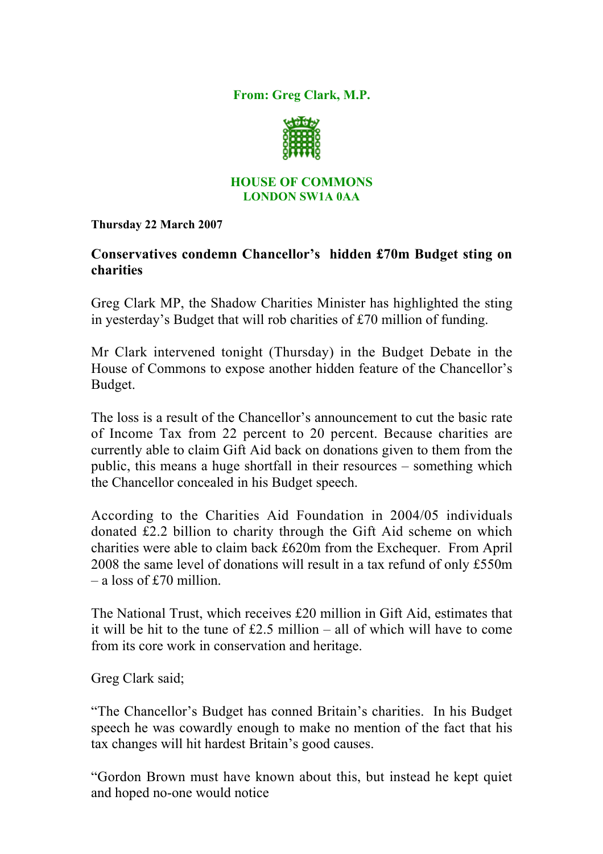From: Greg Clark, M.P.



## HOUSE OF COMMONS LONDON SW1A 0AA

Thursday 22 March 2007

## Conservatives condemn Chancellor's hidden £70m Budget sting on charities

Greg Clark MP, the Shadow Charities Minister has highlighted the sting in yesterday's Budget that will rob charities of £70 million of funding.

Mr Clark intervened tonight (Thursday) in the Budget Debate in the House of Commons to expose another hidden feature of the Chancellor's Budget.

The loss is a result of the Chancellor's announcement to cut the basic rate of Income Tax from 22 percent to 20 percent. Because charities are currently able to claim Gift Aid back on donations given to them from the public, this means a huge shortfall in their resources – something which the Chancellor concealed in his Budget speech.

According to the Charities Aid Foundation in 2004/05 individuals donated £2.2 billion to charity through the Gift Aid scheme on which charities were able to claim back £620m from the Exchequer. From April 2008 the same level of donations will result in a tax refund of only £550m – a loss of £70 million.

The National Trust, which receives £20 million in Gift Aid, estimates that it will be hit to the tune of £2.5 million – all of which will have to come from its core work in conservation and heritage.

Greg Clark said;

"The Chancellor's Budget has conned Britain's charities. In his Budget speech he was cowardly enough to make no mention of the fact that his tax changes will hit hardest Britain's good causes.

"Gordon Brown must have known about this, but instead he kept quiet and hoped no-one would notice